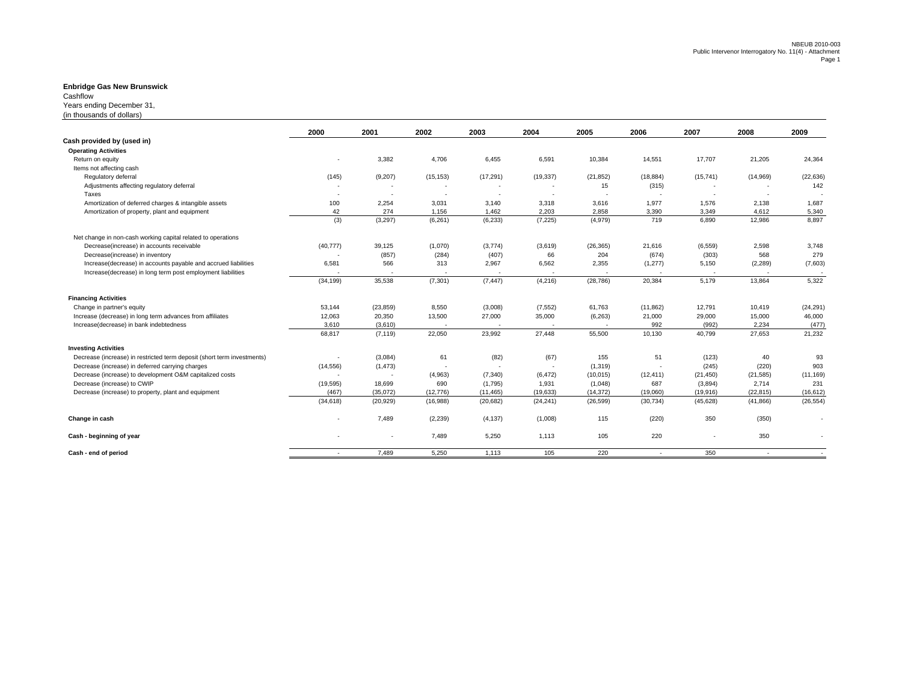## **Enbridge Gas New Brunswick** Cashflow

Years ending December 31,

(in thousands of dollars)

|                                                                         | 2000      | 2001      | 2002      | 2003        | 2004      | 2005      | 2006           | 2007      | 2008                     | 2009      |
|-------------------------------------------------------------------------|-----------|-----------|-----------|-------------|-----------|-----------|----------------|-----------|--------------------------|-----------|
| Cash provided by (used in)                                              |           |           |           |             |           |           |                |           |                          |           |
| <b>Operating Activities</b>                                             |           |           |           |             |           |           |                |           |                          |           |
| Return on equity                                                        |           | 3,382     | 4,706     | 6,455       | 6,591     | 10,384    | 14,551         | 17,707    | 21,205                   | 24,364    |
| Items not affecting cash                                                |           |           |           |             |           |           |                |           |                          |           |
| Regulatory deferral                                                     | (145)     | (9,207)   | (15, 153) | (17, 291)   | (19, 337) | (21, 852) | (18, 884)      | (15, 741) | (14,969)                 | (22, 636) |
| Adjustments affecting regulatory deferral                               |           |           |           |             |           | 15        | (315)          |           |                          | 142       |
| Taxes                                                                   |           |           | $\sim$    | <b>1999</b> | ۰.        | ٠.        |                | $\sim$    | $\overline{\phantom{a}}$ |           |
| Amortization of deferred charges & intangible assets                    | 100       | 2,254     | 3,031     | 3,140       | 3,318     | 3,616     | 1,977          | 1,576     | 2,138                    | 1,687     |
| Amortization of property, plant and equipment                           | 42        | 274       | 1,156     | 1,462       | 2,203     | 2,858     | 3,390          | 3,349     | 4,612                    | 5,340     |
|                                                                         | (3)       | (3, 297)  | (6, 261)  | (6, 233)    | (7, 225)  | (4,979)   | 719            | 6,890     | 12,986                   | 8,897     |
| Net change in non-cash working capital related to operations            |           |           |           |             |           |           |                |           |                          |           |
| Decrease(increase) in accounts receivable                               | (40, 777) | 39,125    | (1,070)   | (3,774)     | (3,619)   | (26, 365) | 21,616         | (6, 559)  | 2,598                    | 3,748     |
| Decrease(increase) in inventory                                         |           | (857)     | (284)     | (407)       | 66        | 204       | (674)          | (303)     | 568                      | 279       |
| Increase(decrease) in accounts payable and accrued liabilities          | 6,581     | 566       | 313       | 2,967       | 6,562     | 2,355     | (1, 277)       | 5,150     | (2, 289)                 | (7,603)   |
| Increase(decrease) in long term post employment liabilities             |           |           |           |             |           |           |                |           |                          |           |
|                                                                         | (34, 199) | 35,538    | (7, 301)  | (7, 447)    | (4, 216)  | (28, 786) | 20,384         | 5,179     | 13,864                   | 5,322     |
| <b>Financing Activities</b>                                             |           |           |           |             |           |           |                |           |                          |           |
| Change in partner's equity                                              | 53,144    | (23, 859) | 8,550     | (3,008)     | (7, 552)  | 61,763    | (11, 862)      | 12,791    | 10,419                   | (24, 291) |
| Increase (decrease) in long term advances from affiliates               | 12,063    | 20,350    | 13,500    | 27,000      | 35,000    | (6, 263)  | 21,000         | 29,000    | 15,000                   | 46,000    |
| Increase(decrease) in bank indebtedness                                 | 3,610     | (3,610)   |           |             |           |           | 992            | (992)     | 2,234                    | (477)     |
|                                                                         | 68,817    | (7, 119)  | 22,050    | 23,992      | 27,448    | 55,500    | 10,130         | 40,799    | 27,653                   | 21,232    |
| <b>Investing Activities</b>                                             |           |           |           |             |           |           |                |           |                          |           |
| Decrease (increase) in restricted term deposit (short term investments) |           | (3,084)   | 61        | (82)        | (67)      | 155       | 51             | (123)     | 40                       | 93        |
| Decrease (increase) in deferred carrying charges                        | (14, 556) | (1, 473)  | $\sim$    |             |           | (1, 319)  | $\sim$         | (245)     | (220)                    | 903       |
| Decrease (increase) to development O&M capitalized costs                |           |           | (4,963)   | (7, 340)    | (6, 472)  | (10, 015) | (12, 411)      | (21, 450) | (21, 585)                | (11, 169) |
| Decrease (increase) to CWIP                                             | (19, 595) | 18,699    | 690       | (1,795)     | 1,931     | (1,048)   | 687            | (3,894)   | 2,714                    | 231       |
| Decrease (increase) to property, plant and equipment                    | (467)     | (35,072)  | (12, 776) | (11, 465)   | (19, 633) | (14, 372) | (19,060)       | (19, 916) | (22, 815)                | (16, 612) |
|                                                                         | (34, 618) | (20, 929) | (16,988)  | (20, 682)   | (24, 241) | (26, 599) | (30, 734)      | (45, 628) | (41, 866)                | (26, 554) |
| Change in cash                                                          |           | 7,489     | (2, 239)  | (4, 137)    | (1,008)   | 115       | (220)          | 350       | (350)                    | ٠         |
| Cash - beginning of year                                                |           |           | 7,489     | 5,250       | 1,113     | 105       | 220            |           | 350                      |           |
| Cash - end of period                                                    | $\sim$    | 7,489     | 5,250     | 1,113       | 105       | 220       | $\overline{a}$ | 350       | $\sim$                   |           |